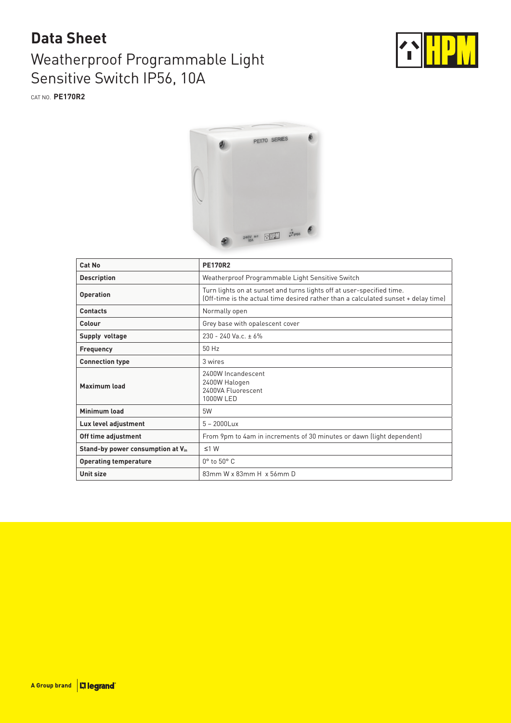## **Data Sheet**

## Weatherproof Programmable Light Sensitive Switch IP56, 10A



CAT NO. **PE170R2**



| Cat No                            | <b>PE170R2</b>                                                                                                                                              |  |
|-----------------------------------|-------------------------------------------------------------------------------------------------------------------------------------------------------------|--|
| <b>Description</b>                | Weatherproof Programmable Light Sensitive Switch                                                                                                            |  |
| <b>Operation</b>                  | Turn lights on at sunset and turns lights off at user-specified time.<br>(Off-time is the actual time desired rather than a calculated sunset + delay time) |  |
| <b>Contacts</b>                   | Normally open                                                                                                                                               |  |
| Colour                            | Grey base with opalescent cover                                                                                                                             |  |
| Supply voltage                    | $230 - 240$ Va c + 6%                                                                                                                                       |  |
| <b>Frequency</b>                  | 50 Hz                                                                                                                                                       |  |
| <b>Connection type</b>            | 3 wires                                                                                                                                                     |  |
| <b>Maximum load</b>               | 2400W Incandescent<br>2400W Halogen<br>2400VA Fluorescent<br>1000W LED                                                                                      |  |
| Minimum load                      | 5W                                                                                                                                                          |  |
| Lux level adjustment              | $5 - 2000$ Lux                                                                                                                                              |  |
| Off time adjustment               | From 9pm to 4am in increments of 30 minutes or dawn (light dependent)                                                                                       |  |
| Stand-by power consumption at Vin | $\leq 1$ W                                                                                                                                                  |  |
| <b>Operating temperature</b>      | $0^\circ$ to $50^\circ$ C                                                                                                                                   |  |
| Unit size                         | 83mm W x 83mm H x 56mm D                                                                                                                                    |  |